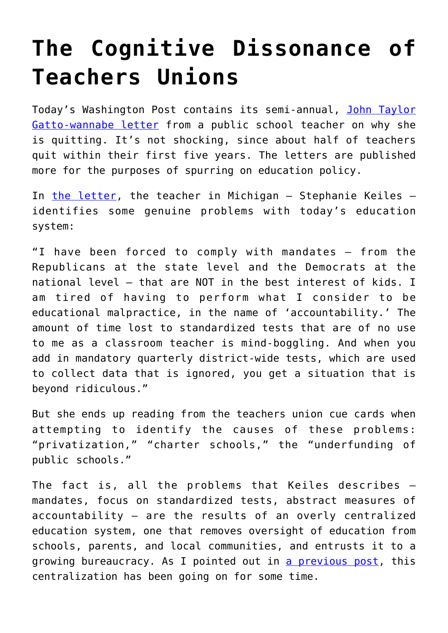## **[The Cognitive Dissonance of](https://intellectualtakeout.org/2015/08/the-cognitive-dissonance-of-teachers-unions/) [Teachers Unions](https://intellectualtakeout.org/2015/08/the-cognitive-dissonance-of-teachers-unions/)**

Today's Washington Post contains its semi-annual, [John Taylor](https://www.educationrevolution.org/blog/i-quit-i-think/) [Gatto-wannabe letter](https://www.educationrevolution.org/blog/i-quit-i-think/) from a public school teacher on why she is quitting. It's not shocking, since about half of teachers quit within their first five years. The letters are published more for the purposes of spurring on education policy.

In [the letter,](http://www.washingtonpost.com/blogs/answer-sheet/wp/2015/08/12/teacher-why-i-just-cant-work-in-public-education-anymore/?tid=pm_pop_b) the teacher in Michigan  $-$  Stephanie Keiles  $$ identifies some genuine problems with today's education system:

"I have been forced to comply with mandates — from the Republicans at the state level and the Democrats at the national level — that are NOT in the best interest of kids. I am tired of having to perform what I consider to be educational malpractice, in the name of 'accountability.' The amount of time lost to standardized tests that are of no use to me as a classroom teacher is mind-boggling. And when you add in mandatory quarterly district-wide tests, which are used to collect data that is ignored, you get a situation that is beyond ridiculous."

But she ends up reading from the teachers union cue cards when attempting to identify the causes of these problems: "privatization," "charter schools," the "underfunding of public schools."

The fact is, all the problems that Keiles describes – mandates, focus on standardized tests, abstract measures of accountability – are the results of an overly centralized education system, one that removes oversight of education from schools, parents, and local communities, and entrusts it to a growing bureaucracy. As I pointed out in [a previous post](https://www.intellectualtakeout.org/blog/little-known-statistic-about-americas-education-system), this centralization has been going on for some time.